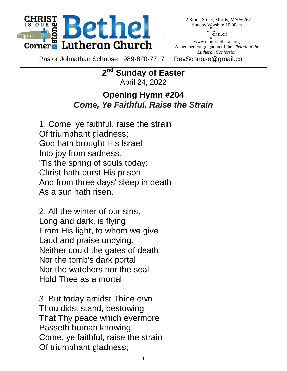

22 Brook Street, Morris, MN 56267 Sunday Worship: 10:00am



www.morrislutheran.org A member congregation of the *Church of the Lutheran Confession*

Pastor Johnathan Schnose 989-820-7717 RevSchnose@gmail.com

 $2<sup>nd</sup>$ **Sunday of Easter** April 24, 2022

#### **Opening Hymn #204** *Come, Ye Faithful, Raise the Strain*

 1. Come, ye faithful, raise the strain Of triumphant gladness; God hath brought His Israel Into joy from sadness. 'Tis the spring of souls today: Christ hath burst His prison And from three days' sleep in death As a sun hath risen.

 2. All the winter of our sins, Long and dark, is flying From His light, to whom we give Laud and praise undying. Neither could the gates of death Nor the tomb's dark portal Nor the watchers nor the seal Hold Thee as a mortal.

 3. But today amidst Thine own Thou didst stand, bestowing That Thy peace which evermore Passeth human knowing. Come, ye faithful, raise the strain Of triumphant gladness;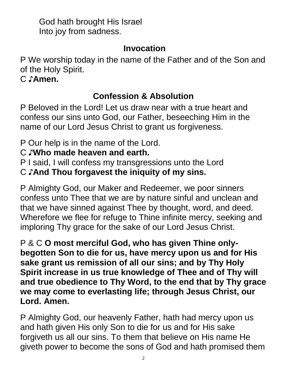God hath brought His Israel Into joy from sadness.

### **Invocation**

P We worship today in the name of the Father and of the Son and of the Holy Spirit.

C ♪**Amen.**

# **Confession & Absolution**

P Beloved in the Lord! Let us draw near with a true heart and confess our sins unto God, our Father, beseeching Him in the name of our Lord Jesus Christ to grant us forgiveness.

P Our help is in the name of the Lord.

# C ♪**Who made heaven and earth.**

P I said, I will confess my transgressions unto the Lord

C ♪**And Thou forgavest the iniquity of my sins.**

P Almighty God, our Maker and Redeemer, we poor sinners confess unto Thee that we are by nature sinful and unclean and that we have sinned against Thee by thought, word, and deed. Wherefore we flee for refuge to Thine infinite mercy, seeking and imploring Thy grace for the sake of our Lord Jesus Christ.

P & C **O most merciful God, who has given Thine onlybegotten Son to die for us, have mercy upon us and for His sake grant us remission of all our sins; and by Thy Holy Spirit increase in us true knowledge of Thee and of Thy will and true obedience to Thy Word, to the end that by Thy grace we may come to everlasting life; through Jesus Christ, our Lord. Amen.**

P Almighty God, our heavenly Father, hath had mercy upon us and hath given His only Son to die for us and for His sake forgiveth us all our sins. To them that believe on His name He giveth power to become the sons of God and hath promised them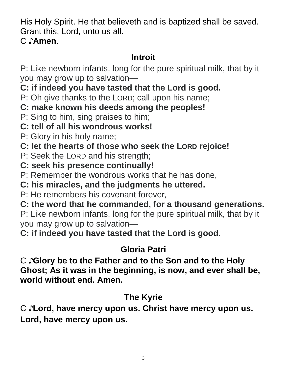His Holy Spirit. He that believeth and is baptized shall be saved. Grant this, Lord, unto us all.

C ♪**Amen**.

# **Introit**

P: Like newborn infants, long for the pure spiritual milk, that by it you may grow up to salvation—

**C: if indeed you have tasted that the Lord is good.**

P: Oh give thanks to the LORD; call upon his name;

**C: make known his deeds among the peoples!**

P: Sing to him, sing praises to him;

# **C: tell of all his wondrous works!**

P: Glory in his holy name;

**C: let the hearts of those who seek the LORD rejoice!**

P: Seek the LORD and his strength;

**C: seek his presence continually!**

P: Remember the wondrous works that he has done,

**C: his miracles, and the judgments he uttered.**

P: He remembers his covenant forever,

**C: the word that he commanded, for a thousand generations.**

P: Like newborn infants, long for the pure spiritual milk, that by it you may grow up to salvation—

**C: if indeed you have tasted that the Lord is good.**

# **Gloria Patri**

C ♪**Glory be to the Father and to the Son and to the Holy Ghost; As it was in the beginning, is now, and ever shall be, world without end. Amen.**

# **The Kyrie**

C ♪**Lord, have mercy upon us. Christ have mercy upon us. Lord, have mercy upon us.**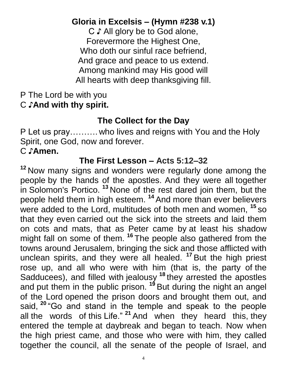# **Gloria in Excelsis – (Hymn #238 v.1)**

C ♪ All glory be to God alone, Forevermore the Highest One, Who doth our sinful race befriend, And grace and peace to us extend. Among mankind may His good will All hearts with deep thanksgiving fill.

#### P The Lord be with you C ♪**And with thy spirit.**

# **The Collect for the Day**

P Let us pray………. who lives and reigns with You and the Holy Spirit, one God, now and forever.

# C ♪**Amen.**

# **The First Lesson – Acts 5:12–32**

**<sup>12</sup>** Now many signs and wonders were regularly done among the people by the hands of the apostles. And they were all together in Solomon's Portico. **<sup>13</sup>** None of the rest dared join them, but the people held them in high esteem. **<sup>14</sup>** And more than ever believers were added to the Lord, multitudes of both men and women, **<sup>15</sup>** so that they even carried out the sick into the streets and laid them on cots and mats, that as Peter came by at least his shadow might fall on some of them. **<sup>16</sup>** The people also gathered from the towns around Jerusalem, bringing the sick and those afflicted with unclean spirits, and they were all healed. **<sup>17</sup>** But the high priest rose up, and all who were with him (that is, the party of the Sadducees), and filled with jealousy **<sup>18</sup>** they arrested the apostles and put them in the public prison. **<sup>19</sup>** But during the night an angel of the Lord opened the prison doors and brought them out, and said, **<sup>20</sup>** "Go and stand in the temple and speak to the people all the words of this Life." **<sup>21</sup>** And when they heard this, they entered the temple at daybreak and began to teach. Now when the high priest came, and those who were with him, they called together the council, all the senate of the people of Israel, and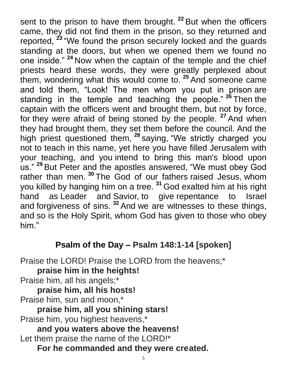sent to the prison to have them brought. **<sup>22</sup>** But when the officers came, they did not find them in the prison, so they returned and reported, **<sup>23</sup>** "We found the prison securely locked and the guards standing at the doors, but when we opened them we found no one inside." **<sup>24</sup>** Now when the captain of the temple and the chief priests heard these words, they were greatly perplexed about them, wondering what this would come to. **<sup>25</sup>** And someone came and told them, "Look! The men whom you put in prison are standing in the temple and teaching the people." **<sup>26</sup>** Then the captain with the officers went and brought them, but not by force, for they were afraid of being stoned by the people. **<sup>27</sup>** And when they had brought them, they set them before the council. And the high priest questioned them, **<sup>28</sup>** saying, "We strictly charged you not to teach in this name, yet here you have filled Jerusalem with your teaching, and you intend to bring this man's blood upon us." **<sup>29</sup>** But Peter and the apostles answered, "We must obey God rather than men. **<sup>30</sup>** The God of our fathers raised Jesus, whom you killed by hanging him on a tree. **<sup>31</sup>** God exalted him at his right hand as Leader and Savior, to give repentance to Israel and forgiveness of sins. **<sup>32</sup>** And we are witnesses to these things, and so is the Holy Spirit, whom God has given to those who obey him."

## **Psalm of the Day – Psalm 148:1-14 [spoken]**

Praise the LORD! Praise the LORD from the heavens;\* **praise him in the heights!** Praise him, all his angels;\* **praise him, all his hosts!** Praise him, sun and moon,\* **praise him, all you shining stars!** Praise him, you highest heavens,\* **and you waters above the heavens!** Let them praise the name of the LORD!\* **For he commanded and they were created.**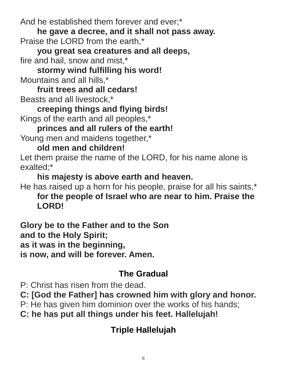And he established them forever and ever;\*

**he gave a decree, and it shall not pass away.** Praise the LORD from the earth,\*

**you great sea creatures and all deeps,** fire and hail, snow and mist,\*

**stormy wind fulfilling his word!** Mountains and all hills,\*

**fruit trees and all cedars!** Beasts and all livestock,\*

**creeping things and flying birds!** Kings of the earth and all peoples,\*

**princes and all rulers of the earth!** Young men and maidens together,\*

## **old men and children!**

Let them praise the name of the LORD, for his name alone is exalted;\*

**his majesty is above earth and heaven.**

He has raised up a horn for his people, praise for all his saints,\* **for the people of Israel who are near to him. Praise the LORD!**

**Glory be to the Father and to the Son and to the Holy Spirit; as it was in the beginning, is now, and will be forever. Amen.**

# **The Gradual**

P: Christ has risen from the dead.

**C: [God the Father] has crowned him with glory and honor.**

P: He has given him dominion over the works of his hands;

**C: he has put all things under his feet. Hallelujah!**

# **Triple Hallelujah**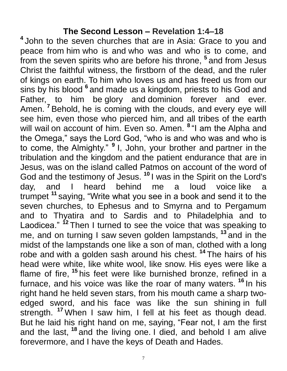#### **The Second Lesson – Revelation 1:4–18**

**4** John to the seven churches that are in Asia: Grace to you and peace from him who is and who was and who is to come, and from the seven spirits who are before his throne, **<sup>5</sup>** and from Jesus Christ the faithful witness, the firstborn of the dead, and the ruler of kings on earth. To him who loves us and has freed us from our sins by his blood **<sup>6</sup>** and made us a kingdom, priests to his God and Father, to him be glory and dominion forever and ever. Amen. **<sup>7</sup>** Behold, he is coming with the clouds, and every eye will see him, even those who pierced him, and all tribes of the earth will wail on account of him. Even so. Amen. **<sup>8</sup>** "I am the Alpha and the Omega," says the Lord God, "who is and who was and who is to come, the Almighty." **<sup>9</sup>**I, John, your brother and partner in the tribulation and the kingdom and the patient endurance that are in Jesus, was on the island called Patmos on account of the word of God and the testimony of Jesus. **<sup>10</sup>** I was in the Spirit on the Lord's day, and I heard behind me a loud voice like trumpet **<sup>11</sup>** saying, "Write what you see in a book and send it to the seven churches, to Ephesus and to Smyrna and to Pergamum and to Thyatira and to Sardis and to Philadelphia and to Laodicea." <sup>12</sup> Then I turned to see the voice that was speaking to me, and on turning I saw seven golden lampstands, **<sup>13</sup>** and in the midst of the lampstands one like a son of man, clothed with a long robe and with a golden sash around his chest. **<sup>14</sup>** The hairs of his head were white, like white wool, like snow. His eyes were like a flame of fire, **<sup>15</sup>** his feet were like burnished bronze, refined in a furnace, and his voice was like the roar of many waters. **<sup>16</sup>** In his right hand he held seven stars, from his mouth came a sharp twoedged sword, and his face was like the sun shining in full strength. **<sup>17</sup>** When I saw him, I fell at his feet as though dead. But he laid his right hand on me, saying, "Fear not, I am the first and the last, **<sup>18</sup>** and the living one. I died, and behold I am alive forevermore, and I have the keys of Death and Hades.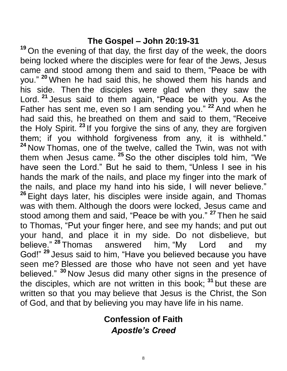#### **The Gospel – John 20:19-31**

**<sup>19</sup>** On the evening of that day, the first day of the week, the doors being locked where the disciples were for fear of the Jews, Jesus came and stood among them and said to them, "Peace be with you." **<sup>20</sup>** When he had said this, he showed them his hands and his side. Then the disciples were glad when they saw the Lord. **<sup>21</sup>** Jesus said to them again, "Peace be with you. As the Father has sent me, even so I am sending you." **<sup>22</sup>** And when he had said this, he breathed on them and said to them, "Receive the Holy Spirit. **<sup>23</sup>** If you forgive the sins of any, they are forgiven them; if you withhold forgiveness from any, it is withheld." **<sup>24</sup>** Now Thomas, one of the twelve, called the Twin, was not with them when Jesus came. **<sup>25</sup>** So the other disciples told him, "We have seen the Lord." But he said to them, "Unless I see in his hands the mark of the nails, and place my finger into the mark of the nails, and place my hand into his side, I will never believe." **<sup>26</sup>** Eight days later, his disciples were inside again, and Thomas was with them. Although the doors were locked, Jesus came and stood among them and said, "Peace be with you." **<sup>27</sup>** Then he said to Thomas, "Put your finger here, and see my hands; and put out your hand, and place it in my side. Do not disbelieve, but believe." **<sup>28</sup>** Thomas answered him, "My Lord and my God!" **<sup>29</sup>** Jesus said to him, "Have you believed because you have seen me? Blessed are those who have not seen and yet have believed." **<sup>30</sup>** Now Jesus did many other signs in the presence of the disciples, which are not written in this book; **<sup>31</sup>** but these are written so that you may believe that Jesus is the Christ, the Son of God, and that by believing you may have life in his name.

### **Confession of Faith** *Apostle's Creed*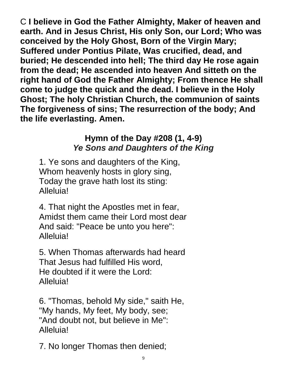C **I believe in God the Father Almighty, Maker of heaven and earth. And in Jesus Christ, His only Son, our Lord; Who was conceived by the Holy Ghost, Born of the Virgin Mary; Suffered under Pontius Pilate, Was crucified, dead, and buried; He descended into hell; The third day He rose again from the dead; He ascended into heaven And sitteth on the right hand of God the Father Almighty; From thence He shall come to judge the quick and the dead. I believe in the Holy Ghost; The holy Christian Church, the communion of saints The forgiveness of sins; The resurrection of the body; And the life everlasting. Amen.**

# **Hymn of the Day #208 (1, 4-9)** *Ye Sons and Daughters of the King*

 1. Ye sons and daughters of the King, Whom heavenly hosts in glory sing, Today the grave hath lost its sting: Alleluia!

 4. That night the Apostles met in fear, Amidst them came their Lord most dear And said: "Peace be unto you here": Alleluia!

 5. When Thomas afterwards had heard That Jesus had fulfilled His word, He doubted if it were the Lord: Alleluia!

 6. "Thomas, behold My side," saith He, "My hands, My feet, My body, see; "And doubt not, but believe in Me": Alleluia!

7. No longer Thomas then denied;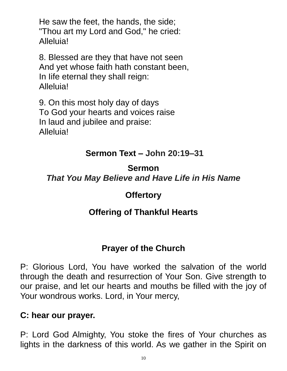He saw the feet, the hands, the side; "Thou art my Lord and God," he cried: Alleluia!

 8. Blessed are they that have not seen And yet whose faith hath constant been, In Iife eternal they shall reign: Alleluia!

 9. On this most holy day of days To God your hearts and voices raise In laud and jubilee and praise: Alleluia!

### **Sermon Text – John 20:19–31**

## **Sermon**  *That You May Believe and Have Life in His Name*

#### **Offertory**

## **Offering of Thankful Hearts**

## **Prayer of the Church**

P: Glorious Lord, You have worked the salvation of the world through the death and resurrection of Your Son. Give strength to our praise, and let our hearts and mouths be filled with the joy of Your wondrous works. Lord, in Your mercy,

#### **C: hear our prayer.**

P: Lord God Almighty, You stoke the fires of Your churches as lights in the darkness of this world. As we gather in the Spirit on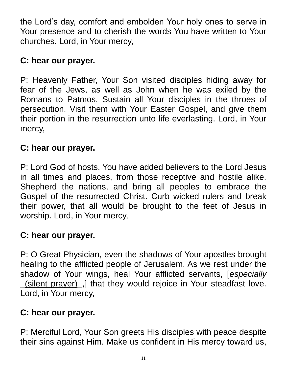the Lord's day, comfort and embolden Your holy ones to serve in Your presence and to cherish the words You have written to Your churches. Lord, in Your mercy,

## **C: hear our prayer.**

P: Heavenly Father, Your Son visited disciples hiding away for fear of the Jews, as well as John when he was exiled by the Romans to Patmos. Sustain all Your disciples in the throes of persecution. Visit them with Your Easter Gospel, and give them their portion in the resurrection unto life everlasting. Lord, in Your mercy,

### **C: hear our prayer.**

P: Lord God of hosts, You have added believers to the Lord Jesus in all times and places, from those receptive and hostile alike. Shepherd the nations, and bring all peoples to embrace the Gospel of the resurrected Christ. Curb wicked rulers and break their power, that all would be brought to the feet of Jesus in worship. Lord, in Your mercy,

## **C: hear our prayer.**

P: O Great Physician, even the shadows of Your apostles brought healing to the afflicted people of Jerusalem. As we rest under the shadow of Your wings, heal Your afflicted servants, [*especially* \_(silent prayer)\_,] that they would rejoice in Your steadfast love. Lord, in Your mercy,

#### **C: hear our prayer.**

P: Merciful Lord, Your Son greets His disciples with peace despite their sins against Him. Make us confident in His mercy toward us,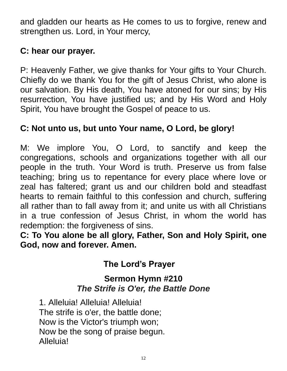and gladden our hearts as He comes to us to forgive, renew and strengthen us. Lord, in Your mercy,

### **C: hear our prayer.**

P: Heavenly Father, we give thanks for Your gifts to Your Church. Chiefly do we thank You for the gift of Jesus Christ, who alone is our salvation. By His death, You have atoned for our sins; by His resurrection, You have justified us; and by His Word and Holy Spirit, You have brought the Gospel of peace to us.

### **C: Not unto us, but unto Your name, O Lord, be glory!**

M: We implore You, O Lord, to sanctify and keep the congregations, schools and organizations together with all our people in the truth. Your Word is truth. Preserve us from false teaching; bring us to repentance for every place where love or zeal has faltered; grant us and our children bold and steadfast hearts to remain faithful to this confession and church, suffering all rather than to fall away from it; and unite us with all Christians in a true confession of Jesus Christ, in whom the world has redemption: the forgiveness of sins.

**C: To You alone be all glory, Father, Son and Holy Spirit, one God, now and forever. Amen.**

# **The Lord's Prayer**

### **Sermon Hymn #210** *The Strife is O'er, the Battle Done*

 1. Alleluia! Alleluia! Alleluia! The strife is o'er, the battle done; Now is the Victor's triumph won; Now be the song of praise begun. Alleluia!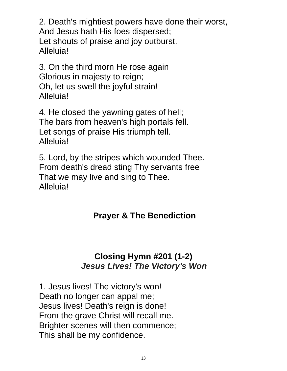2. Death's mightiest powers have done their worst, And Jesus hath His foes dispersed; Let shouts of praise and joy outburst. Alleluia!

 3. On the third morn He rose again Glorious in majesty to reign; Oh, let us swell the joyful strain! Alleluia!

 4. He closed the yawning gates of hell; The bars from heaven's high portals fell. Let songs of praise His triumph tell. Alleluia!

 5. Lord, by the stripes which wounded Thee. From death's dread sting Thy servants free That we may live and sing to Thee. Alleluia!

## **Prayer & The Benediction**

#### **Closing Hymn #201 (1-2)** *Jesus Lives! The Victory's Won*

 1. Jesus lives! The victory's won! Death no longer can appal me; Jesus lives! Death's reign is done! From the grave Christ will recall me. Brighter scenes will then commence; This shall be my confidence.